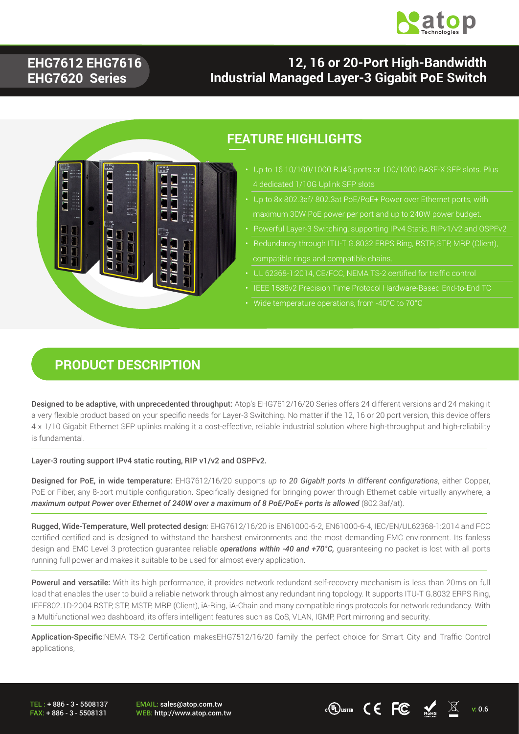

### **EHG7612 EHG7616 EHG7620 Series**

### **12, 16 or 20-Port High-Bandwidth Industrial Managed Layer-3 Gigabit PoE Switch**



### **FEATURE HIGHLIGHTS**

- Up to 16 10/100/1000 RJ45 ports or 100/1000 BASE-X SFP slots. Plus
- 
- Powerful Layer-3 Switching, supporting IPv4 Static, RIPv1/v2 and OSPFv2
- 
- UL 62368-1:2014, CE/FCC, NEMA TS-2 certified for traffic control
- 
- Wide temperature operations, from -40°C to 70°C

#### **PRODUCT DESCRIPTION**

Designed to be adaptive, with unprecedented throughput: Atop's EHG7612/16/20 Series offers 24 different versions and 24 making it a very flexible product based on your specific needs for Layer-3 Switching. No matter if the 12, 16 or 20 port version, this device offers 4 x 1/10 Gigabit Ethernet SFP uplinks making it a cost-effective, reliable industrial solution where high-throughput and high-reliability is fundamental.

Layer-3 routing support IPv4 static routing, RIP v1/v2 and OSPFv2.

Designed for PoE, in wide temperature: EHG7612/16/20 supports *up to 20 Gigabit ports in different configurations*, either Copper, PoE or Fiber, any 8-port multiple configuration. Specifically designed for bringing power through Ethernet cable virtually anywhere, a maximum output Power over Ethernet of 240W over a maximum of 8 PoE/PoE+ ports is allowed (802.3af/at).

Rugged, Wide-Temperature, Well protected design: EHG7612/16/20 is EN61000-6-2, EN61000-6-4, IEC/EN/UL62368-1:2014 and FCC certified certified and is designed to withstand the harshest environments and the most demanding EMC environment. Its fanless design and EMC Level 3 protection guarantee reliable *operations within -40 and +70°C,* guaranteeing no packet is lost with all ports running full power and makes it suitable to be used for almost every application.

Powerul and versatile: With its high performance, it provides network redundant self-recovery mechanism is less than 20ms on full load that enables the user to build a reliable network through almost any redundant ring topology. It supports ITU-T G.8032 ERPS Ring, IEEE802.1D-2004 RSTP, STP, MSTP, MRP (Client), iA-Ring, iA-Chain and many compatible rings protocols for network redundancy. With a Multifunctional web dashboard, its offers intelligent features such as QoS, VLAN, IGMP, Port mirroring and security.

Application-Specific:NEMA TS-2 Certification makesEHG7512/16/20 family the perfect choice for Smart City and Traffic Control applications,

TEL : + 886 - 3 - 5508137 FAX: + 886 - 3 - 5508131 EMAIL: sales@atop.com.tw

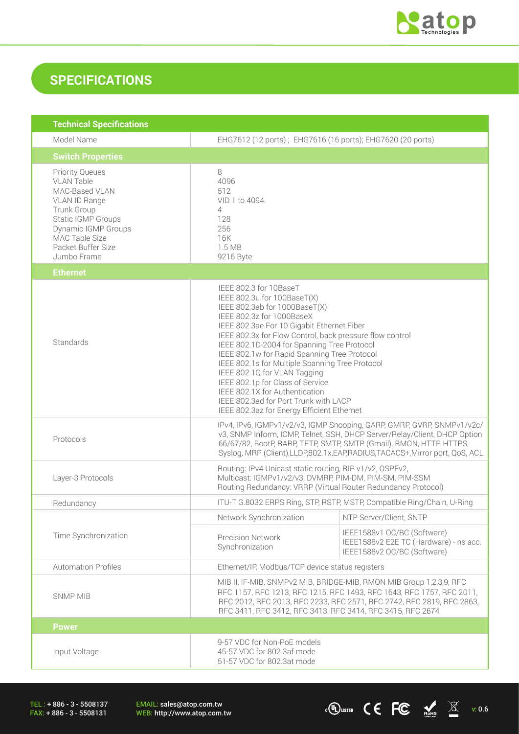

 $\overline{C}$  ( $\overline{C}$   $\overline{C}$   $\overline{M}$  v: 0.6

## **SPECIFICATIONS**

| <b>Technical Specifications</b>                                                                                                                                                                   |                                                                                                                                                                                                                                                                                                                                                                                                                                                                                                                                                                              |                                                                                                      |  |
|---------------------------------------------------------------------------------------------------------------------------------------------------------------------------------------------------|------------------------------------------------------------------------------------------------------------------------------------------------------------------------------------------------------------------------------------------------------------------------------------------------------------------------------------------------------------------------------------------------------------------------------------------------------------------------------------------------------------------------------------------------------------------------------|------------------------------------------------------------------------------------------------------|--|
| Model Name                                                                                                                                                                                        | EHG7612 (12 ports); EHG7616 (16 ports); EHG7620 (20 ports)                                                                                                                                                                                                                                                                                                                                                                                                                                                                                                                   |                                                                                                      |  |
| <b>Switch Properties</b>                                                                                                                                                                          |                                                                                                                                                                                                                                                                                                                                                                                                                                                                                                                                                                              |                                                                                                      |  |
| <b>Priority Queues</b><br><b>VLAN Table</b><br>MAC-Based VLAN<br>VLAN ID Range<br>Trunk Group<br>Static IGMP Groups<br>Dynamic IGMP Groups<br>MAC Table Size<br>Packet Buffer Size<br>Jumbo Frame | 8<br>4096<br>512<br>VID 1 to 4094<br>4<br>128<br>256<br>16K<br>1.5 MB<br>9216 Byte                                                                                                                                                                                                                                                                                                                                                                                                                                                                                           |                                                                                                      |  |
| <b>Ethernet</b>                                                                                                                                                                                   |                                                                                                                                                                                                                                                                                                                                                                                                                                                                                                                                                                              |                                                                                                      |  |
| Standards                                                                                                                                                                                         | IEEE 802.3 for 10BaseT<br>IEEE 802.3u for 100BaseT(X)<br>IEEE 802.3ab for 1000BaseT(X)<br>IEEE 802.3z for 1000BaseX<br>IEEE 802.3ae For 10 Gigabit Ethernet Fiber<br>IEEE 802.3x for Flow Control, back pressure flow control<br>IEEE 802.1D-2004 for Spanning Tree Protocol<br>IEEE 802.1w for Rapid Spanning Tree Protocol<br>IEEE 802.1s for Multiple Spanning Tree Protocol<br>IEEE 802.1Q for VLAN Tagging<br>IEEE 802.1p for Class of Service<br>IEEE 802.1X for Authentication<br>IEEE 802.3ad for Port Trunk with LACP<br>IEEE 802.3az for Energy Efficient Ethernet |                                                                                                      |  |
| Protocols                                                                                                                                                                                         | IPv4, IPv6, IGMPv1/v2/v3, IGMP Snooping, GARP, GMRP, GVRP, SNMPv1/v2c/<br>v3, SNMP Inform, ICMP, Telnet, SSH, DHCP Server/Relay/Client, DHCP Option<br>66/67/82, BootP, RARP, TFTP, SMTP, SMTP (Gmail), RMON, HTTP, HTTPS,<br>Syslog, MRP (Client), LLDP, 802.1x, EAP, RADIUS, TACACS+, Mirror port, QoS, ACL                                                                                                                                                                                                                                                                |                                                                                                      |  |
| Layer-3 Protocols                                                                                                                                                                                 | Routing: IPv4 Unicast static routing, RIP v1/v2, OSPFv2,<br>Multicast: IGMPv1/v2/v3, DVMRP, PIM-DM, PIM-SM, PIM-SSM<br>Routing Redundancy: VRRP (Virtual Router Redundancy Protocol)                                                                                                                                                                                                                                                                                                                                                                                         |                                                                                                      |  |
| Redundancy                                                                                                                                                                                        |                                                                                                                                                                                                                                                                                                                                                                                                                                                                                                                                                                              | ITU-T G.8032 ERPS Ring, STP, RSTP, MSTP, Compatible Ring/Chain, U-Ring                               |  |
|                                                                                                                                                                                                   | Network Synchronization                                                                                                                                                                                                                                                                                                                                                                                                                                                                                                                                                      | NTP Server/Client, SNTP                                                                              |  |
| Time Synchronization                                                                                                                                                                              | <b>Precision Network</b><br>Synchronization                                                                                                                                                                                                                                                                                                                                                                                                                                                                                                                                  | IEEE1588v1 OC/BC (Software)<br>IEEE1588v2 E2E TC (Hardware) - ns acc.<br>IEEE1588v2 OC/BC (Software) |  |
| <b>Automation Profiles</b>                                                                                                                                                                        | Ethernet/IP, Modbus/TCP device status registers                                                                                                                                                                                                                                                                                                                                                                                                                                                                                                                              |                                                                                                      |  |
| <b>SNMP MIB</b>                                                                                                                                                                                   | MIB II, IF-MIB, SNMPv2 MIB, BRIDGE-MIB, RMON MIB Group 1,2,3,9, RFC<br>RFC 1157, RFC 1213, RFC 1215, RFC 1493, RFC 1643, RFC 1757, RFC 2011,<br>RFC 2012, RFC 2013, RFC 2233, RFC 2571, RFC 2742, RFC 2819, RFC 2863,<br>RFC 3411, RFC 3412, RFC 3413, RFC 3414, RFC 3415, RFC 2674                                                                                                                                                                                                                                                                                          |                                                                                                      |  |
| <b>Power</b>                                                                                                                                                                                      |                                                                                                                                                                                                                                                                                                                                                                                                                                                                                                                                                                              |                                                                                                      |  |
| Input Voltage                                                                                                                                                                                     | 9-57 VDC for Non-PoE models<br>45-57 VDC for 802.3af mode<br>51-57 VDC for 802.3at mode                                                                                                                                                                                                                                                                                                                                                                                                                                                                                      |                                                                                                      |  |

TEL : + 886 - 3 - 5508137 FAX: + 886 - 3 - 5508131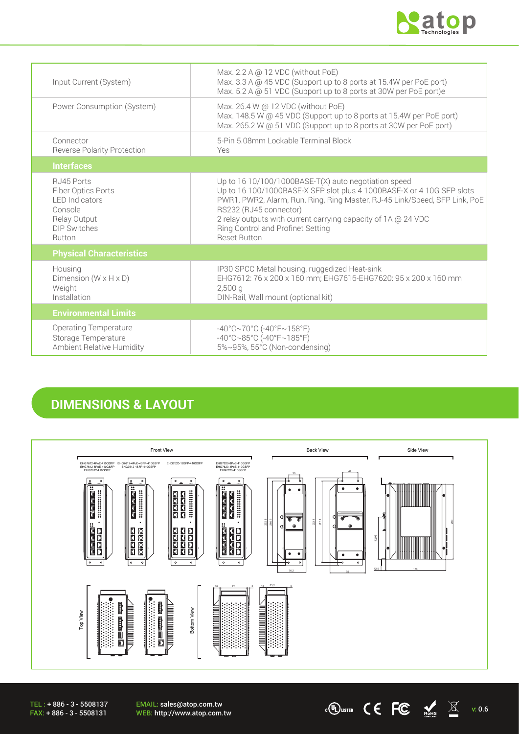

 $\cdot$  (U) LISTED  $\bullet$   $\bullet$  FC  $\bullet$  Rests  $\mathbb{X}$  v: 0.6

| Input Current (System)                                                                                                       | Max. $2.2$ A @ 12 VDC (without PoE)<br>Max. 3.3 A @ 45 VDC (Support up to 8 ports at 15.4W per PoE port)<br>Max. 5.2 A @ 51 VDC (Support up to 8 ports at 30W per PoE port)e                                                                                                                                                                                       |
|------------------------------------------------------------------------------------------------------------------------------|--------------------------------------------------------------------------------------------------------------------------------------------------------------------------------------------------------------------------------------------------------------------------------------------------------------------------------------------------------------------|
| Power Consumption (System)                                                                                                   | Max. 26.4 W @ 12 VDC (without PoE)<br>Max. 148.5 W @ 45 VDC (Support up to 8 ports at 15.4W per PoE port)<br>Max. 265.2 W @ 51 VDC (Support up to 8 ports at 30W per PoE port)                                                                                                                                                                                     |
| Connector<br><b>Reverse Polarity Protection</b>                                                                              | 5-Pin 5.08mm Lockable Terminal Block<br>Yes                                                                                                                                                                                                                                                                                                                        |
| <b>Interfaces</b>                                                                                                            |                                                                                                                                                                                                                                                                                                                                                                    |
| RJ45 Ports<br>Fiber Optics Ports<br><b>LED</b> Indicators<br>Console<br>Relay Output<br><b>DIP Switches</b><br><b>Button</b> | Up to 16 10/100/1000BASE-T(X) auto negotiation speed<br>Up to 16 100/1000BASE-X SFP slot plus 4 1000BASE-X or 4 10G SFP slots<br>PWR1, PWR2, Alarm, Run, Ring, Ring Master, RJ-45 Link/Speed, SFP Link, PoE<br>RS232 (RJ45 connector)<br>2 relay outputs with current carrying capacity of 1A @ 24 VDC<br>Ring Control and Profinet Setting<br><b>Reset Button</b> |
| <b>Physical Characteristics</b>                                                                                              |                                                                                                                                                                                                                                                                                                                                                                    |
| Housing<br>Dimension ( $W \times H \times D$ )<br>Weight<br>Installation                                                     | IP30 SPCC Metal housing, ruggedized Heat-sink<br>EHG7612: 76 x 200 x 160 mm; EHG7616-EHG7620: 95 x 200 x 160 mm<br>$2,500$ a<br>DIN-Rail, Wall mount (optional kit)                                                                                                                                                                                                |
| <b>Environmental Limits</b>                                                                                                  |                                                                                                                                                                                                                                                                                                                                                                    |
| <b>Operating Temperature</b><br>Storage Temperature<br>Ambient Relative Humidity                                             | $-40^{\circ}$ C $\sim$ 70°C (-40°F $\sim$ 158°F)<br>$-40^{\circ}$ C $\sim$ 85°C (-40°F $\sim$ 185°F)<br>5%~95%, 55°C (Non-condensing)                                                                                                                                                                                                                              |

## **DIMENSIONS & LAYOUT**



EMAIL: sales@atop.com.tw<br>WEB: http://www.atop.com.tw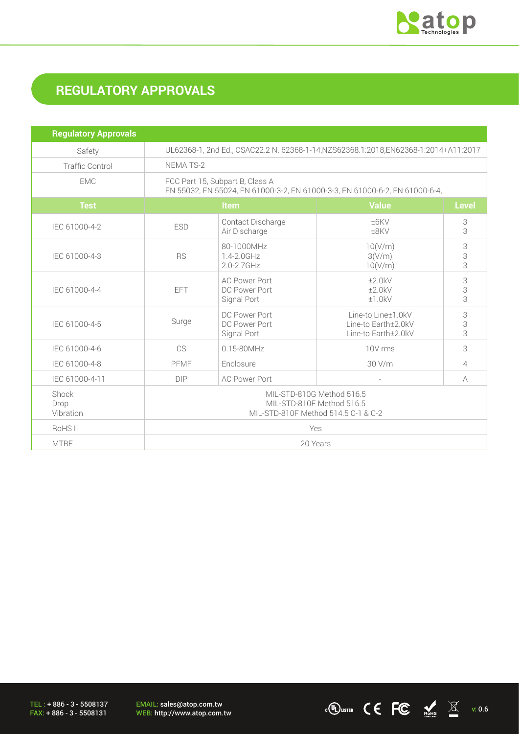

 $\cdot$  (U) LISTED C C FC  $\frac{1}{\sqrt{M}}$   $\frac{1}{\sqrt{M}}$  v: 0.6

# **REGULATORY APPROVALS**

| <b>Regulatory Approvals</b> |                                                                                                                |                                                      |                                                                  |              |
|-----------------------------|----------------------------------------------------------------------------------------------------------------|------------------------------------------------------|------------------------------------------------------------------|--------------|
| Safety                      | UL62368-1, 2nd Ed., CSAC22.2 N. 62368-1-14, NZS62368.1:2018, EN62368-1:2014+A11:2017                           |                                                      |                                                                  |              |
| <b>Traffic Control</b>      | <b>NEMATS-2</b>                                                                                                |                                                      |                                                                  |              |
| <b>EMC</b>                  | FCC Part 15, Subpart B, Class A<br>EN 55032, EN 55024, EN 61000-3-2, EN 61000-3-3, EN 61000-6-2, EN 61000-6-4, |                                                      |                                                                  |              |
| <b>Test</b>                 |                                                                                                                | Item                                                 | <b>Value</b>                                                     | <b>Level</b> |
| IEC 61000-4-2               | <b>ESD</b>                                                                                                     | Contact Discharge<br>Air Discharge                   | ±6KV<br>±8KV                                                     | 3<br>3       |
| IEC 61000-4-3               | <b>RS</b>                                                                                                      | 80-1000MHz<br>1.4-2.0GHz<br>$2.0 - 2.7$ GHz          | 10(V/m)<br>3(V/m)<br>10(V/m)                                     | 3<br>3<br>3  |
| IEC 61000-4-4               | EFT                                                                                                            | <b>AC Power Port</b><br>DC Power Port<br>Signal Port | ±2.0kV<br>±2.0kV<br>±1.0kV                                       | 3<br>3<br>3  |
| IEC 61000-4-5               | Surge                                                                                                          | DC Power Port<br>DC Power Port<br>Signal Port        | Line-to Line±1.0kV<br>Line-to Earth±2.0kV<br>Line-to Earth±2.0kV |              |
| IEC 61000-4-6               | CS                                                                                                             | $0.15 - 80$ MHz                                      | 10V rms                                                          | 3            |
| IEC 61000-4-8               | PFMF                                                                                                           | Enclosure                                            | 30 V/m<br>4                                                      |              |
| IEC 61000-4-11              | <b>DIP</b>                                                                                                     | <b>AC Power Port</b>                                 | $\sim$                                                           | A            |
| Shock<br>Drop<br>Vibration  | MIL-STD-810G Method 516.5<br>MIL-STD-810F Method 516.5<br>MIL-STD-810F Method 514.5 C-1 & C-2                  |                                                      |                                                                  |              |
| RoHS II                     | Yes                                                                                                            |                                                      |                                                                  |              |
| <b>MTBF</b>                 | 20 Years                                                                                                       |                                                      |                                                                  |              |

TEL : + 886 - 3 - 5508137 FAX: + 886 - 3 - 5508131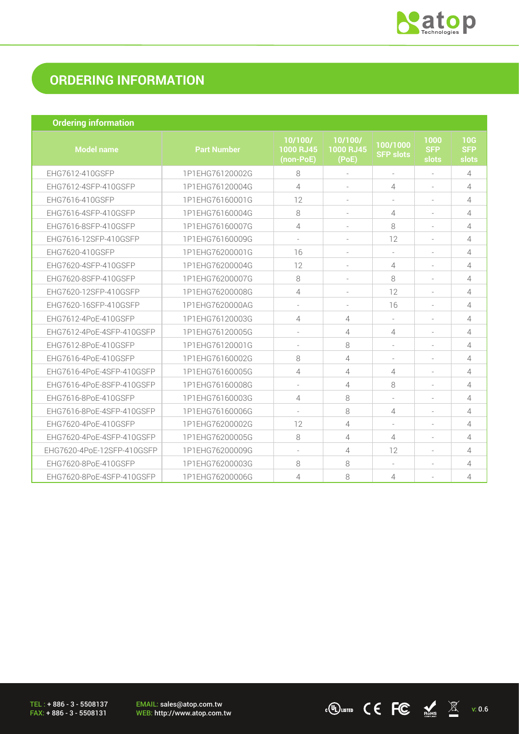

 $\cdot$  (U) LISTED C C FC  $\frac{1}{\sqrt{M}}$   $\frac{1}{\sqrt{M}}$  v: 0.6

## **ORDERING INFORMATION**

| <b>Ordering information</b> |  |
|-----------------------------|--|
|                             |  |
|                             |  |

| <b>Model name</b>          | <b>Part Number</b> | 10/100/<br><b>1000 RJ45</b><br>(non-PoE) | 10/100/<br>1000 RJ45<br>(PoE) | 100/1000<br><b>SFP slots</b> | 1000<br><b>SFP</b><br>slots | 10G<br><b>SFP</b><br>slots |
|----------------------------|--------------------|------------------------------------------|-------------------------------|------------------------------|-----------------------------|----------------------------|
| EHG7612-410GSFP            | 1P1EHG76120002G    | 8                                        |                               | $\overline{\phantom{a}}$     |                             | 4                          |
| EHG7612-4SFP-410GSFP       | 1P1EHG76120004G    | 4                                        |                               | 4                            |                             | 4                          |
| EHG7616-410GSFP            | 1P1EHG76160001G    | 12                                       |                               |                              |                             | 4                          |
| EHG7616-4SFP-410GSFP       | 1P1EHG76160004G    | 8                                        |                               | 4                            |                             | $\overline{4}$             |
| EHG7616-8SFP-410GSFP       | 1P1EHG76160007G    | 4                                        |                               | 8                            |                             | 4                          |
| EHG7616-12SFP-410GSFP      | 1P1EHG76160009G    |                                          |                               | 12                           |                             | $\overline{4}$             |
| EHG7620-410GSFP            | 1P1EHG76200001G    | 16                                       |                               |                              |                             | 4                          |
| EHG7620-4SFP-410GSFP       | 1P1EHG76200004G    | 12                                       |                               | 4                            |                             | 4                          |
| EHG7620-8SFP-410GSFP       | 1P1EHG76200007G    | 8                                        |                               | 8                            |                             | 4                          |
| EHG7620-12SFP-410GSFP      | 1P1EHG76200008G    | 4                                        |                               | 12                           |                             | 4                          |
| EHG7620-16SFP-410GSFP      | 1P1EHG7620000AG    |                                          |                               | 16                           |                             | 4                          |
| EHG7612-4PoE-410GSFP       | 1P1EHG76120003G    | 4                                        | 4                             |                              |                             | 4                          |
| EHG7612-4PoE-4SFP-410GSFP  | 1P1EHG76120005G    |                                          | 4                             | 4                            |                             | 4                          |
| EHG7612-8PoE-410GSFP       | 1P1EHG76120001G    |                                          | 8                             |                              |                             | 4                          |
| EHG7616-4PoE-410GSFP       | 1P1EHG76160002G    | 8                                        | 4                             | $\overline{\phantom{a}}$     |                             | 4                          |
| EHG7616-4PoE-4SFP-410GSFP  | 1P1EHG76160005G    | 4                                        | 4                             | 4                            |                             | 4                          |
| EHG7616-4PoE-8SFP-410GSFP  | 1P1EHG76160008G    |                                          | 4                             | 8                            |                             | 4                          |
| EHG7616-8PoE-410GSFP       | 1P1EHG76160003G    | 4                                        | 8                             |                              |                             | 4                          |
| EHG7616-8PoE-4SFP-410GSFP  | 1P1EHG76160006G    |                                          | 8                             | 4                            |                             | 4                          |
| EHG7620-4PoE-410GSFP       | 1P1EHG76200002G    | 12                                       | 4                             | $\overline{\phantom{a}}$     |                             | 4                          |
| EHG7620-4PoE-4SFP-410GSFP  | 1P1EHG76200005G    | 8                                        | 4                             | 4                            |                             | 4                          |
| EHG7620-4PoE-12SFP-410GSFP | 1P1EHG76200009G    |                                          | 4                             | 12                           |                             | 4                          |
| EHG7620-8PoE-410GSFP       | 1P1EHG76200003G    | 8                                        | 8                             |                              |                             | 4                          |
| EHG7620-8PoE-4SFP-410GSFP  | 1P1EHG76200006G    | 4                                        | 8                             | 4                            |                             | 4                          |